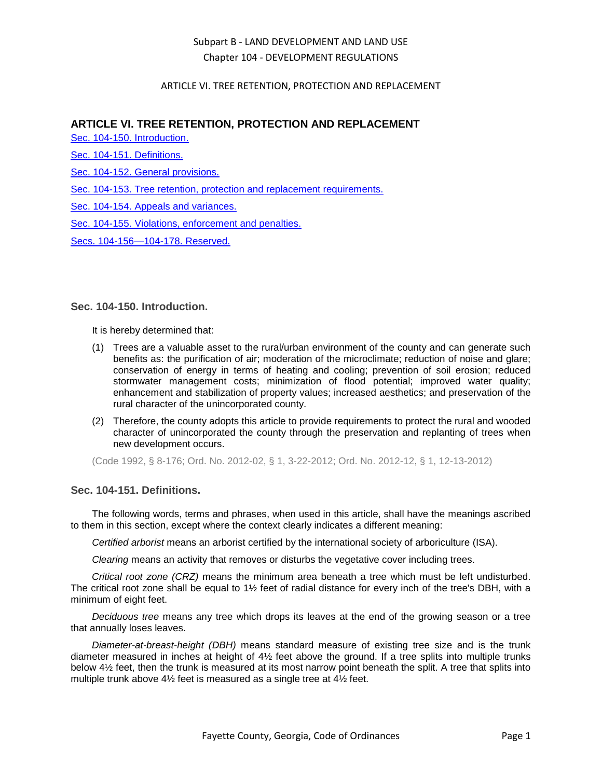### ARTICLE VI. TREE RETENTION, PROTECTION AND REPLACEMENT

## **ARTICLE VI. TREE RETENTION, PROTECTION AND REPLACEMENT**

[Sec. 104-150. Introduction.](#page-0-0)

[Sec. 104-151. Definitions.](#page-0-1)

[Sec. 104-152. General provisions.](#page-2-0)

[Sec. 104-153. Tree retention, protection and replacement requirements.](#page-3-0)

[Sec. 104-154. Appeals and variances.](#page-6-0)

[Sec. 104-155. Violations, enforcement and penalties.](#page-8-0)

[Secs. 104-156—104-178. Reserved.](#page-9-0)

### <span id="page-0-0"></span>**Sec. 104-150. Introduction.**

It is hereby determined that:

- (1) Trees are a valuable asset to the rural/urban environment of the county and can generate such benefits as: the purification of air; moderation of the microclimate; reduction of noise and glare; conservation of energy in terms of heating and cooling; prevention of soil erosion; reduced stormwater management costs; minimization of flood potential; improved water quality; enhancement and stabilization of property values; increased aesthetics; and preservation of the rural character of the unincorporated county.
- (2) Therefore, the county adopts this article to provide requirements to protect the rural and wooded character of unincorporated the county through the preservation and replanting of trees when new development occurs.

(Code 1992, § 8-176; Ord. No. 2012-02, § 1, 3-22-2012; Ord. No. 2012-12, § 1, 12-13-2012)

### <span id="page-0-1"></span>**Sec. 104-151. Definitions.**

The following words, terms and phrases, when used in this article, shall have the meanings ascribed to them in this section, except where the context clearly indicates a different meaning:

*Certified arborist* means an arborist certified by the international society of arboriculture (ISA).

*Clearing* means an activity that removes or disturbs the vegetative cover including trees.

*Critical root zone (CRZ)* means the minimum area beneath a tree which must be left undisturbed. The critical root zone shall be equal to  $1\frac{1}{2}$  feet of radial distance for every inch of the tree's DBH, with a minimum of eight feet.

*Deciduous tree* means any tree which drops its leaves at the end of the growing season or a tree that annually loses leaves.

*Diameter-at-breast-height (DBH)* means standard measure of existing tree size and is the trunk diameter measured in inches at height of 4½ feet above the ground. If a tree splits into multiple trunks below 4½ feet, then the trunk is measured at its most narrow point beneath the split. A tree that splits into multiple trunk above 4½ feet is measured as a single tree at 4½ feet.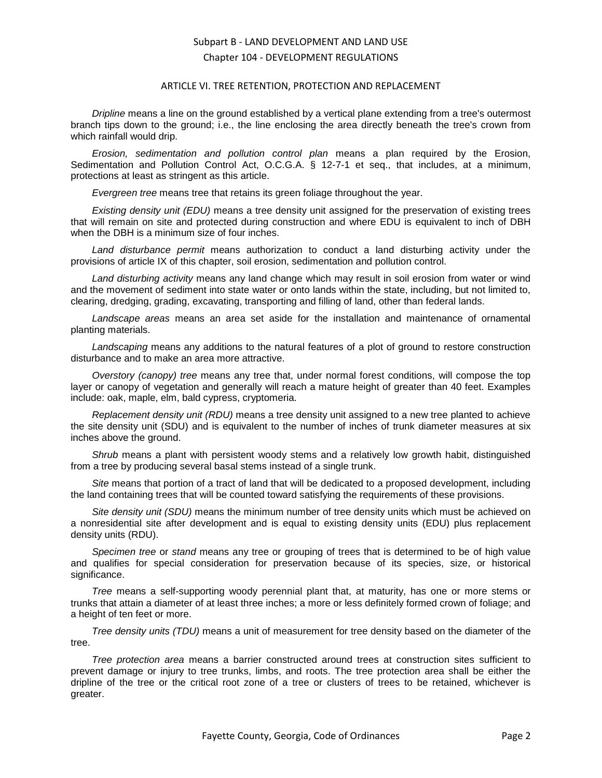#### ARTICLE VI. TREE RETENTION, PROTECTION AND REPLACEMENT

*Dripline* means a line on the ground established by a vertical plane extending from a tree's outermost branch tips down to the ground; i.e., the line enclosing the area directly beneath the tree's crown from which rainfall would drip.

*Erosion, sedimentation and pollution control plan* means a plan required by the Erosion, Sedimentation and Pollution Control Act, O.C.G.A. § 12-7-1 et seq., that includes, at a minimum, protections at least as stringent as this article.

*Evergreen tree* means tree that retains its green foliage throughout the year.

*Existing density unit (EDU)* means a tree density unit assigned for the preservation of existing trees that will remain on site and protected during construction and where EDU is equivalent to inch of DBH when the DBH is a minimum size of four inches.

*Land disturbance permit* means authorization to conduct a land disturbing activity under the provisions of article IX of this chapter, soil erosion, sedimentation and pollution control.

*Land disturbing activity* means any land change which may result in soil erosion from water or wind and the movement of sediment into state water or onto lands within the state, including, but not limited to, clearing, dredging, grading, excavating, transporting and filling of land, other than federal lands.

*Landscape areas* means an area set aside for the installation and maintenance of ornamental planting materials.

*Landscaping* means any additions to the natural features of a plot of ground to restore construction disturbance and to make an area more attractive.

*Overstory (canopy) tree* means any tree that, under normal forest conditions, will compose the top layer or canopy of vegetation and generally will reach a mature height of greater than 40 feet. Examples include: oak, maple, elm, bald cypress, cryptomeria.

*Replacement density unit (RDU)* means a tree density unit assigned to a new tree planted to achieve the site density unit (SDU) and is equivalent to the number of inches of trunk diameter measures at six inches above the ground.

*Shrub* means a plant with persistent woody stems and a relatively low growth habit, distinguished from a tree by producing several basal stems instead of a single trunk.

*Site* means that portion of a tract of land that will be dedicated to a proposed development, including the land containing trees that will be counted toward satisfying the requirements of these provisions.

*Site density unit (SDU)* means the minimum number of tree density units which must be achieved on a nonresidential site after development and is equal to existing density units (EDU) plus replacement density units (RDU).

*Specimen tree* or *stand* means any tree or grouping of trees that is determined to be of high value and qualifies for special consideration for preservation because of its species, size, or historical significance.

*Tree* means a self-supporting woody perennial plant that, at maturity, has one or more stems or trunks that attain a diameter of at least three inches; a more or less definitely formed crown of foliage; and a height of ten feet or more.

*Tree density units (TDU)* means a unit of measurement for tree density based on the diameter of the tree.

*Tree protection area* means a barrier constructed around trees at construction sites sufficient to prevent damage or injury to tree trunks, limbs, and roots. The tree protection area shall be either the dripline of the tree or the critical root zone of a tree or clusters of trees to be retained, whichever is greater.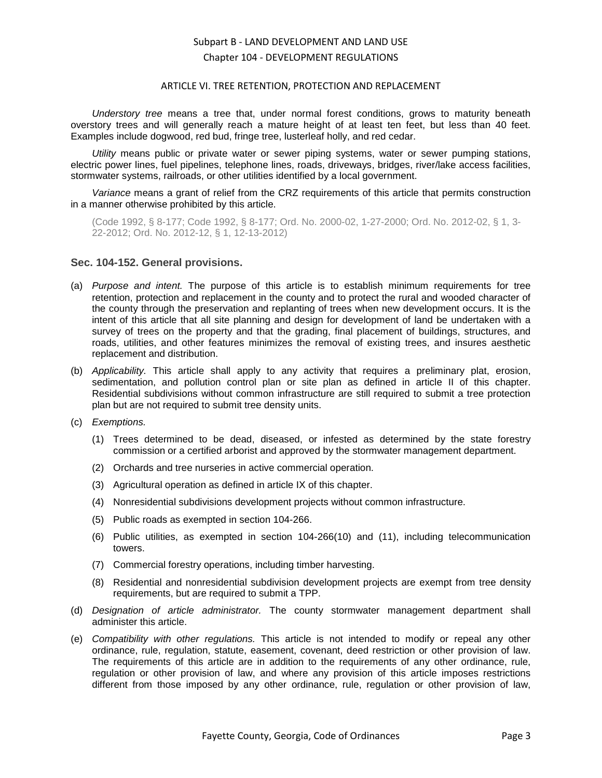#### ARTICLE VI. TREE RETENTION, PROTECTION AND REPLACEMENT

*Understory tree* means a tree that, under normal forest conditions, grows to maturity beneath overstory trees and will generally reach a mature height of at least ten feet, but less than 40 feet. Examples include dogwood, red bud, fringe tree, lusterleaf holly, and red cedar.

*Utility* means public or private water or sewer piping systems, water or sewer pumping stations, electric power lines, fuel pipelines, telephone lines, roads, driveways, bridges, river/lake access facilities, stormwater systems, railroads, or other utilities identified by a local government.

*Variance* means a grant of relief from the CRZ requirements of this article that permits construction in a manner otherwise prohibited by this article.

(Code 1992, § 8-177; Code 1992, § 8-177; Ord. No. 2000-02, 1-27-2000; Ord. No. 2012-02, § 1, 3- 22-2012; Ord. No. 2012-12, § 1, 12-13-2012)

#### <span id="page-2-0"></span>**Sec. 104-152. General provisions.**

- (a) *Purpose and intent.* The purpose of this article is to establish minimum requirements for tree retention, protection and replacement in the county and to protect the rural and wooded character of the county through the preservation and replanting of trees when new development occurs. It is the intent of this article that all site planning and design for development of land be undertaken with a survey of trees on the property and that the grading, final placement of buildings, structures, and roads, utilities, and other features minimizes the removal of existing trees, and insures aesthetic replacement and distribution.
- (b) *Applicability.* This article shall apply to any activity that requires a preliminary plat, erosion, sedimentation, and pollution control plan or site plan as defined in article II of this chapter. Residential subdivisions without common infrastructure are still required to submit a tree protection plan but are not required to submit tree density units.
- (c) *Exemptions.*
	- (1) Trees determined to be dead, diseased, or infested as determined by the state forestry commission or a certified arborist and approved by the stormwater management department.
	- (2) Orchards and tree nurseries in active commercial operation.
	- (3) Agricultural operation as defined in article IX of this chapter.
	- (4) Nonresidential subdivisions development projects without common infrastructure.
	- (5) Public roads as exempted in section 104-266.
	- (6) Public utilities, as exempted in section 104-266(10) and (11), including telecommunication towers.
	- (7) Commercial forestry operations, including timber harvesting.
	- (8) Residential and nonresidential subdivision development projects are exempt from tree density requirements, but are required to submit a TPP.
- (d) *Designation of article administrator.* The county stormwater management department shall administer this article.
- (e) *Compatibility with other regulations.* This article is not intended to modify or repeal any other ordinance, rule, regulation, statute, easement, covenant, deed restriction or other provision of law. The requirements of this article are in addition to the requirements of any other ordinance, rule, regulation or other provision of law, and where any provision of this article imposes restrictions different from those imposed by any other ordinance, rule, regulation or other provision of law,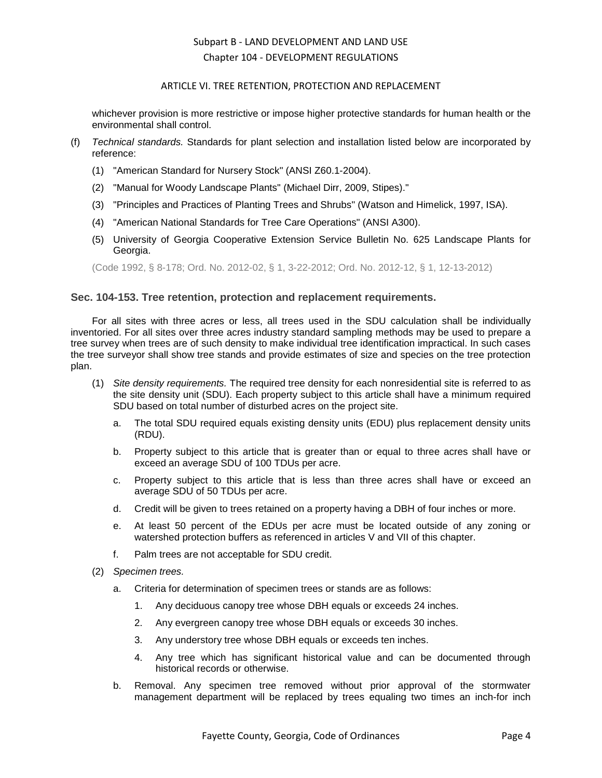### ARTICLE VI. TREE RETENTION, PROTECTION AND REPLACEMENT

whichever provision is more restrictive or impose higher protective standards for human health or the environmental shall control.

- (f) *Technical standards.* Standards for plant selection and installation listed below are incorporated by reference:
	- (1) "American Standard for Nursery Stock" (ANSI Z60.1-2004).
	- (2) "Manual for Woody Landscape Plants" (Michael Dirr, 2009, Stipes)."
	- (3) "Principles and Practices of Planting Trees and Shrubs" (Watson and Himelick, 1997, ISA).
	- (4) "American National Standards for Tree Care Operations" (ANSI A300).
	- (5) University of Georgia Cooperative Extension Service Bulletin No. 625 Landscape Plants for Georgia.

(Code 1992, § 8-178; Ord. No. 2012-02, § 1, 3-22-2012; Ord. No. 2012-12, § 1, 12-13-2012)

### <span id="page-3-0"></span>**Sec. 104-153. Tree retention, protection and replacement requirements.**

For all sites with three acres or less, all trees used in the SDU calculation shall be individually inventoried. For all sites over three acres industry standard sampling methods may be used to prepare a tree survey when trees are of such density to make individual tree identification impractical. In such cases the tree surveyor shall show tree stands and provide estimates of size and species on the tree protection plan.

- (1) *Site density requirements.* The required tree density for each nonresidential site is referred to as the site density unit (SDU). Each property subject to this article shall have a minimum required SDU based on total number of disturbed acres on the project site.
	- a. The total SDU required equals existing density units (EDU) plus replacement density units (RDU).
	- b. Property subject to this article that is greater than or equal to three acres shall have or exceed an average SDU of 100 TDUs per acre.
	- c. Property subject to this article that is less than three acres shall have or exceed an average SDU of 50 TDUs per acre.
	- d. Credit will be given to trees retained on a property having a DBH of four inches or more.
	- e. At least 50 percent of the EDUs per acre must be located outside of any zoning or watershed protection buffers as referenced in articles V and VII of this chapter.
	- f. Palm trees are not acceptable for SDU credit.
- (2) *Specimen trees.*
	- a. Criteria for determination of specimen trees or stands are as follows:
		- 1. Any deciduous canopy tree whose DBH equals or exceeds 24 inches.
		- 2. Any evergreen canopy tree whose DBH equals or exceeds 30 inches.
		- 3. Any understory tree whose DBH equals or exceeds ten inches.
		- 4. Any tree which has significant historical value and can be documented through historical records or otherwise.
	- b. Removal. Any specimen tree removed without prior approval of the stormwater management department will be replaced by trees equaling two times an inch-for inch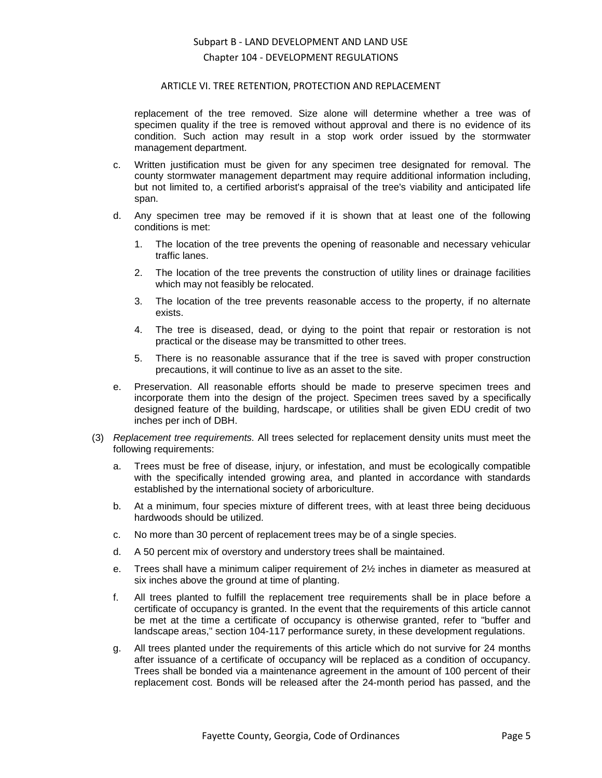#### ARTICLE VI. TREE RETENTION, PROTECTION AND REPLACEMENT

replacement of the tree removed. Size alone will determine whether a tree was of specimen quality if the tree is removed without approval and there is no evidence of its condition. Such action may result in a stop work order issued by the stormwater management department.

- c. Written justification must be given for any specimen tree designated for removal. The county stormwater management department may require additional information including, but not limited to, a certified arborist's appraisal of the tree's viability and anticipated life span.
- d. Any specimen tree may be removed if it is shown that at least one of the following conditions is met:
	- 1. The location of the tree prevents the opening of reasonable and necessary vehicular traffic lanes.
	- 2. The location of the tree prevents the construction of utility lines or drainage facilities which may not feasibly be relocated.
	- 3. The location of the tree prevents reasonable access to the property, if no alternate exists.
	- 4. The tree is diseased, dead, or dying to the point that repair or restoration is not practical or the disease may be transmitted to other trees.
	- 5. There is no reasonable assurance that if the tree is saved with proper construction precautions, it will continue to live as an asset to the site.
- e. Preservation. All reasonable efforts should be made to preserve specimen trees and incorporate them into the design of the project. Specimen trees saved by a specifically designed feature of the building, hardscape, or utilities shall be given EDU credit of two inches per inch of DBH.
- (3) *Replacement tree requirements.* All trees selected for replacement density units must meet the following requirements:
	- a. Trees must be free of disease, injury, or infestation, and must be ecologically compatible with the specifically intended growing area, and planted in accordance with standards established by the international society of arboriculture.
	- b. At a minimum, four species mixture of different trees, with at least three being deciduous hardwoods should be utilized.
	- c. No more than 30 percent of replacement trees may be of a single species.
	- d. A 50 percent mix of overstory and understory trees shall be maintained.
	- e. Trees shall have a minimum caliper requirement of 2½ inches in diameter as measured at six inches above the ground at time of planting.
	- f. All trees planted to fulfill the replacement tree requirements shall be in place before a certificate of occupancy is granted. In the event that the requirements of this article cannot be met at the time a certificate of occupancy is otherwise granted, refer to "buffer and landscape areas," section 104-117 performance surety, in these development regulations.
	- g. All trees planted under the requirements of this article which do not survive for 24 months after issuance of a certificate of occupancy will be replaced as a condition of occupancy. Trees shall be bonded via a maintenance agreement in the amount of 100 percent of their replacement cost. Bonds will be released after the 24-month period has passed, and the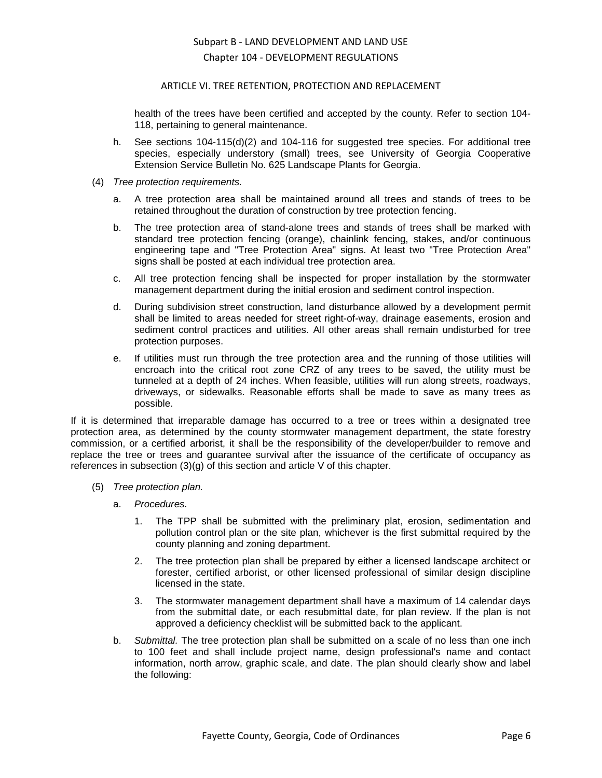### ARTICLE VI. TREE RETENTION, PROTECTION AND REPLACEMENT

health of the trees have been certified and accepted by the county. Refer to section 104- 118, pertaining to general maintenance.

- h. See sections 104-115(d)(2) and 104-116 for suggested tree species. For additional tree species, especially understory (small) trees, see University of Georgia Cooperative Extension Service Bulletin No. 625 Landscape Plants for Georgia.
- (4) *Tree protection requirements.*
	- a. A tree protection area shall be maintained around all trees and stands of trees to be retained throughout the duration of construction by tree protection fencing.
	- b. The tree protection area of stand-alone trees and stands of trees shall be marked with standard tree protection fencing (orange), chainlink fencing, stakes, and/or continuous engineering tape and "Tree Protection Area" signs. At least two "Tree Protection Area" signs shall be posted at each individual tree protection area.
	- c. All tree protection fencing shall be inspected for proper installation by the stormwater management department during the initial erosion and sediment control inspection.
	- d. During subdivision street construction, land disturbance allowed by a development permit shall be limited to areas needed for street right-of-way, drainage easements, erosion and sediment control practices and utilities. All other areas shall remain undisturbed for tree protection purposes.
	- e. If utilities must run through the tree protection area and the running of those utilities will encroach into the critical root zone CRZ of any trees to be saved, the utility must be tunneled at a depth of 24 inches. When feasible, utilities will run along streets, roadways, driveways, or sidewalks. Reasonable efforts shall be made to save as many trees as possible.

If it is determined that irreparable damage has occurred to a tree or trees within a designated tree protection area, as determined by the county stormwater management department, the state forestry commission, or a certified arborist, it shall be the responsibility of the developer/builder to remove and replace the tree or trees and guarantee survival after the issuance of the certificate of occupancy as references in subsection (3)(g) of this section and article V of this chapter.

- (5) *Tree protection plan.*
	- a. *Procedures.*
		- 1. The TPP shall be submitted with the preliminary plat, erosion, sedimentation and pollution control plan or the site plan, whichever is the first submittal required by the county planning and zoning department.
		- 2. The tree protection plan shall be prepared by either a licensed landscape architect or forester, certified arborist, or other licensed professional of similar design discipline licensed in the state.
		- 3. The stormwater management department shall have a maximum of 14 calendar days from the submittal date, or each resubmittal date, for plan review. If the plan is not approved a deficiency checklist will be submitted back to the applicant.
	- b. *Submittal.* The tree protection plan shall be submitted on a scale of no less than one inch to 100 feet and shall include project name, design professional's name and contact information, north arrow, graphic scale, and date. The plan should clearly show and label the following: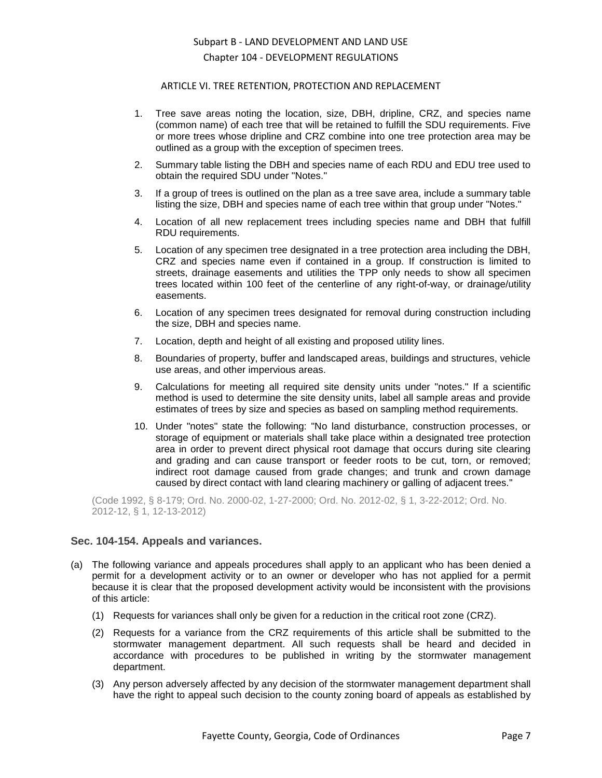### ARTICLE VI. TREE RETENTION, PROTECTION AND REPLACEMENT

- 1. Tree save areas noting the location, size, DBH, dripline, CRZ, and species name (common name) of each tree that will be retained to fulfill the SDU requirements. Five or more trees whose dripline and CRZ combine into one tree protection area may be outlined as a group with the exception of specimen trees.
- 2. Summary table listing the DBH and species name of each RDU and EDU tree used to obtain the required SDU under "Notes."
- 3. If a group of trees is outlined on the plan as a tree save area, include a summary table listing the size, DBH and species name of each tree within that group under "Notes."
- 4. Location of all new replacement trees including species name and DBH that fulfill RDU requirements.
- 5. Location of any specimen tree designated in a tree protection area including the DBH, CRZ and species name even if contained in a group. If construction is limited to streets, drainage easements and utilities the TPP only needs to show all specimen trees located within 100 feet of the centerline of any right-of-way, or drainage/utility easements.
- 6. Location of any specimen trees designated for removal during construction including the size, DBH and species name.
- 7. Location, depth and height of all existing and proposed utility lines.
- 8. Boundaries of property, buffer and landscaped areas, buildings and structures, vehicle use areas, and other impervious areas.
- 9. Calculations for meeting all required site density units under "notes." If a scientific method is used to determine the site density units, label all sample areas and provide estimates of trees by size and species as based on sampling method requirements.
- 10. Under "notes" state the following: "No land disturbance, construction processes, or storage of equipment or materials shall take place within a designated tree protection area in order to prevent direct physical root damage that occurs during site clearing and grading and can cause transport or feeder roots to be cut, torn, or removed; indirect root damage caused from grade changes; and trunk and crown damage caused by direct contact with land clearing machinery or galling of adjacent trees."

(Code 1992, § 8-179; Ord. No. 2000-02, 1-27-2000; Ord. No. 2012-02, § 1, 3-22-2012; Ord. No. 2012-12, § 1, 12-13-2012)

### <span id="page-6-0"></span>**Sec. 104-154. Appeals and variances.**

- (a) The following variance and appeals procedures shall apply to an applicant who has been denied a permit for a development activity or to an owner or developer who has not applied for a permit because it is clear that the proposed development activity would be inconsistent with the provisions of this article:
	- (1) Requests for variances shall only be given for a reduction in the critical root zone (CRZ).
	- (2) Requests for a variance from the CRZ requirements of this article shall be submitted to the stormwater management department. All such requests shall be heard and decided in accordance with procedures to be published in writing by the stormwater management department.
	- (3) Any person adversely affected by any decision of the stormwater management department shall have the right to appeal such decision to the county zoning board of appeals as established by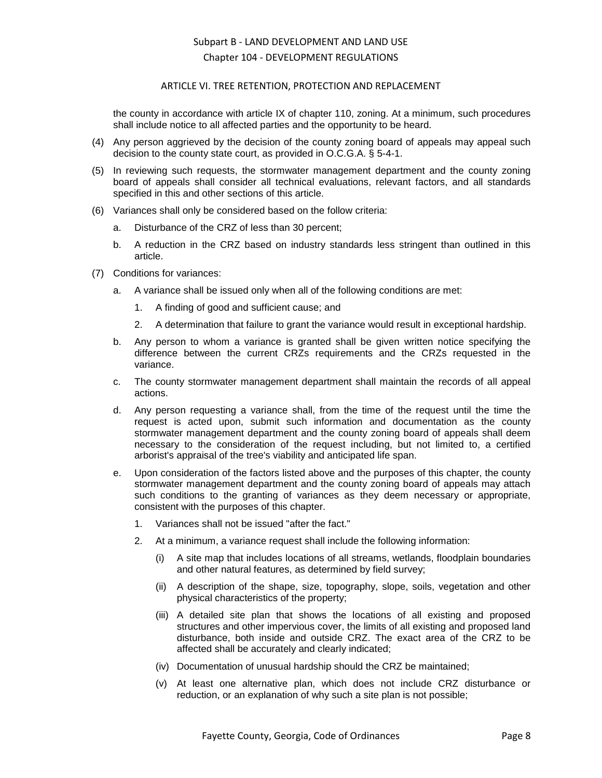### ARTICLE VI. TREE RETENTION, PROTECTION AND REPLACEMENT

the county in accordance with article IX of chapter 110, zoning. At a minimum, such procedures shall include notice to all affected parties and the opportunity to be heard.

- (4) Any person aggrieved by the decision of the county zoning board of appeals may appeal such decision to the county state court, as provided in O.C.G.A. § 5-4-1.
- (5) In reviewing such requests, the stormwater management department and the county zoning board of appeals shall consider all technical evaluations, relevant factors, and all standards specified in this and other sections of this article.
- (6) Variances shall only be considered based on the follow criteria:
	- a. Disturbance of the CRZ of less than 30 percent;
	- b. A reduction in the CRZ based on industry standards less stringent than outlined in this article.
- (7) Conditions for variances:
	- a. A variance shall be issued only when all of the following conditions are met:
		- 1. A finding of good and sufficient cause; and
		- 2. A determination that failure to grant the variance would result in exceptional hardship.
	- b. Any person to whom a variance is granted shall be given written notice specifying the difference between the current CRZs requirements and the CRZs requested in the variance.
	- c. The county stormwater management department shall maintain the records of all appeal actions.
	- d. Any person requesting a variance shall, from the time of the request until the time the request is acted upon, submit such information and documentation as the county stormwater management department and the county zoning board of appeals shall deem necessary to the consideration of the request including, but not limited to, a certified arborist's appraisal of the tree's viability and anticipated life span.
	- e. Upon consideration of the factors listed above and the purposes of this chapter, the county stormwater management department and the county zoning board of appeals may attach such conditions to the granting of variances as they deem necessary or appropriate, consistent with the purposes of this chapter.
		- 1. Variances shall not be issued "after the fact."
		- 2. At a minimum, a variance request shall include the following information:
			- (i) A site map that includes locations of all streams, wetlands, floodplain boundaries and other natural features, as determined by field survey;
			- (ii) A description of the shape, size, topography, slope, soils, vegetation and other physical characteristics of the property;
			- (iii) A detailed site plan that shows the locations of all existing and proposed structures and other impervious cover, the limits of all existing and proposed land disturbance, both inside and outside CRZ. The exact area of the CRZ to be affected shall be accurately and clearly indicated;
			- (iv) Documentation of unusual hardship should the CRZ be maintained;
			- (v) At least one alternative plan, which does not include CRZ disturbance or reduction, or an explanation of why such a site plan is not possible;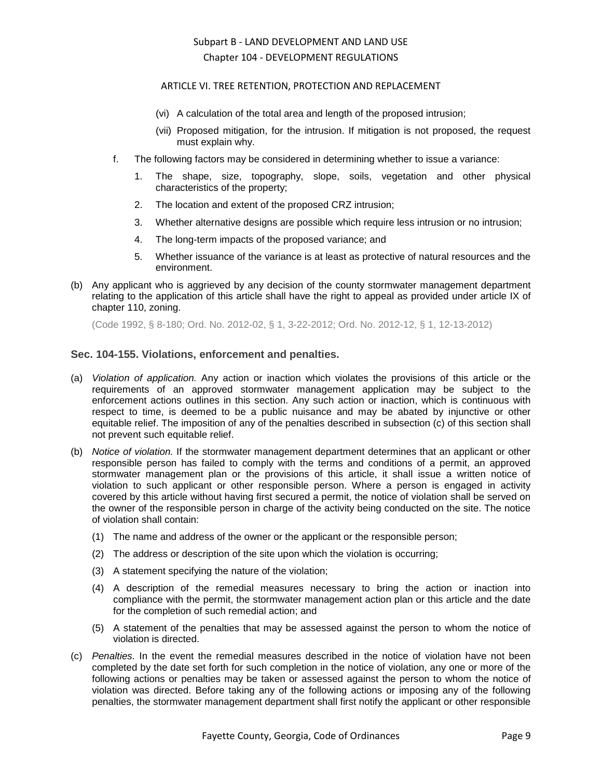### ARTICLE VI. TREE RETENTION, PROTECTION AND REPLACEMENT

- (vi) A calculation of the total area and length of the proposed intrusion;
- (vii) Proposed mitigation, for the intrusion. If mitigation is not proposed, the request must explain why.
- f. The following factors may be considered in determining whether to issue a variance:
	- The shape, size, topography, slope, soils, vegetation and other physical characteristics of the property;
	- 2. The location and extent of the proposed CRZ intrusion;
	- 3. Whether alternative designs are possible which require less intrusion or no intrusion;
	- 4. The long-term impacts of the proposed variance; and
	- 5. Whether issuance of the variance is at least as protective of natural resources and the environment.
- (b) Any applicant who is aggrieved by any decision of the county stormwater management department relating to the application of this article shall have the right to appeal as provided under article IX of chapter 110, zoning.

(Code 1992, § 8-180; Ord. No. 2012-02, § 1, 3-22-2012; Ord. No. 2012-12, § 1, 12-13-2012)

## <span id="page-8-0"></span>**Sec. 104-155. Violations, enforcement and penalties.**

- (a) *Violation of application.* Any action or inaction which violates the provisions of this article or the requirements of an approved stormwater management application may be subject to the enforcement actions outlines in this section. Any such action or inaction, which is continuous with respect to time, is deemed to be a public nuisance and may be abated by injunctive or other equitable relief. The imposition of any of the penalties described in subsection (c) of this section shall not prevent such equitable relief.
- (b) *Notice of violation.* If the stormwater management department determines that an applicant or other responsible person has failed to comply with the terms and conditions of a permit, an approved stormwater management plan or the provisions of this article, it shall issue a written notice of violation to such applicant or other responsible person. Where a person is engaged in activity covered by this article without having first secured a permit, the notice of violation shall be served on the owner of the responsible person in charge of the activity being conducted on the site. The notice of violation shall contain:
	- (1) The name and address of the owner or the applicant or the responsible person;
	- (2) The address or description of the site upon which the violation is occurring;
	- (3) A statement specifying the nature of the violation;
	- (4) A description of the remedial measures necessary to bring the action or inaction into compliance with the permit, the stormwater management action plan or this article and the date for the completion of such remedial action; and
	- (5) A statement of the penalties that may be assessed against the person to whom the notice of violation is directed.
- (c) *Penalties.* In the event the remedial measures described in the notice of violation have not been completed by the date set forth for such completion in the notice of violation, any one or more of the following actions or penalties may be taken or assessed against the person to whom the notice of violation was directed. Before taking any of the following actions or imposing any of the following penalties, the stormwater management department shall first notify the applicant or other responsible